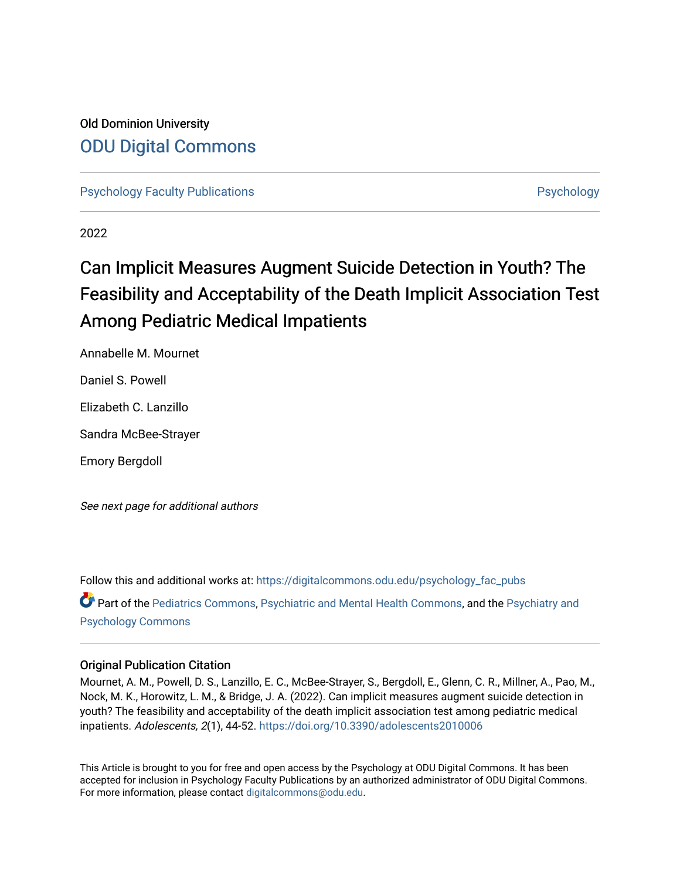# Old Dominion University [ODU Digital Commons](https://digitalcommons.odu.edu/)

[Psychology Faculty Publications](https://digitalcommons.odu.edu/psychology_fac_pubs) **Provides** [Psychology](https://digitalcommons.odu.edu/psychology) **Psychology** 

2022

# Can Implicit Measures Augment Suicide Detection in Youth? The Feasibility and Acceptability of the Death Implicit Association Test Among Pediatric Medical Impatients

Annabelle M. Mournet

Daniel S. Powell

Elizabeth C. Lanzillo

Sandra McBee-Strayer

Emory Bergdoll

See next page for additional authors

Follow this and additional works at: [https://digitalcommons.odu.edu/psychology\\_fac\\_pubs](https://digitalcommons.odu.edu/psychology_fac_pubs?utm_source=digitalcommons.odu.edu%2Fpsychology_fac_pubs%2F126&utm_medium=PDF&utm_campaign=PDFCoverPages) Part of the [Pediatrics Commons](http://network.bepress.com/hgg/discipline/700?utm_source=digitalcommons.odu.edu%2Fpsychology_fac_pubs%2F126&utm_medium=PDF&utm_campaign=PDFCoverPages), [Psychiatric and Mental Health Commons](http://network.bepress.com/hgg/discipline/711?utm_source=digitalcommons.odu.edu%2Fpsychology_fac_pubs%2F126&utm_medium=PDF&utm_campaign=PDFCoverPages), and the [Psychiatry and](http://network.bepress.com/hgg/discipline/908?utm_source=digitalcommons.odu.edu%2Fpsychology_fac_pubs%2F126&utm_medium=PDF&utm_campaign=PDFCoverPages)  [Psychology Commons](http://network.bepress.com/hgg/discipline/908?utm_source=digitalcommons.odu.edu%2Fpsychology_fac_pubs%2F126&utm_medium=PDF&utm_campaign=PDFCoverPages) 

# Original Publication Citation

Mournet, A. M., Powell, D. S., Lanzillo, E. C., McBee-Strayer, S., Bergdoll, E., Glenn, C. R., Millner, A., Pao, M., Nock, M. K., Horowitz, L. M., & Bridge, J. A. (2022). Can implicit measures augment suicide detection in youth? The feasibility and acceptability of the death implicit association test among pediatric medical inpatients. Adolescents, 2(1), 44-52. <https://doi.org/10.3390/adolescents2010006>

This Article is brought to you for free and open access by the Psychology at ODU Digital Commons. It has been accepted for inclusion in Psychology Faculty Publications by an authorized administrator of ODU Digital Commons. For more information, please contact [digitalcommons@odu.edu](mailto:digitalcommons@odu.edu).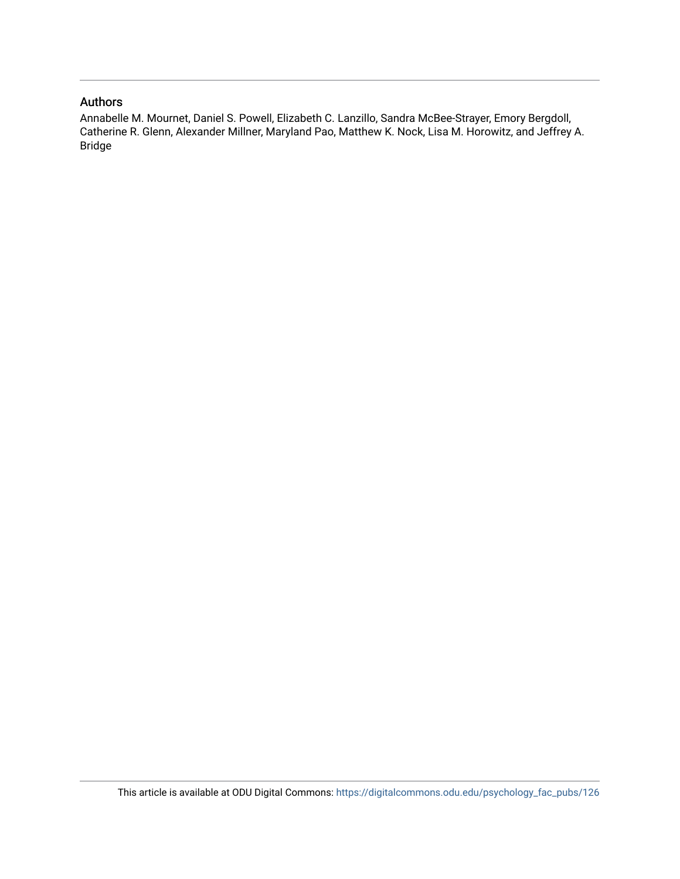## Authors

Annabelle M. Mournet, Daniel S. Powell, Elizabeth C. Lanzillo, Sandra McBee-Strayer, Emory Bergdoll, Catherine R. Glenn, Alexander Millner, Maryland Pao, Matthew K. Nock, Lisa M. Horowitz, and Jeffrey A. Bridge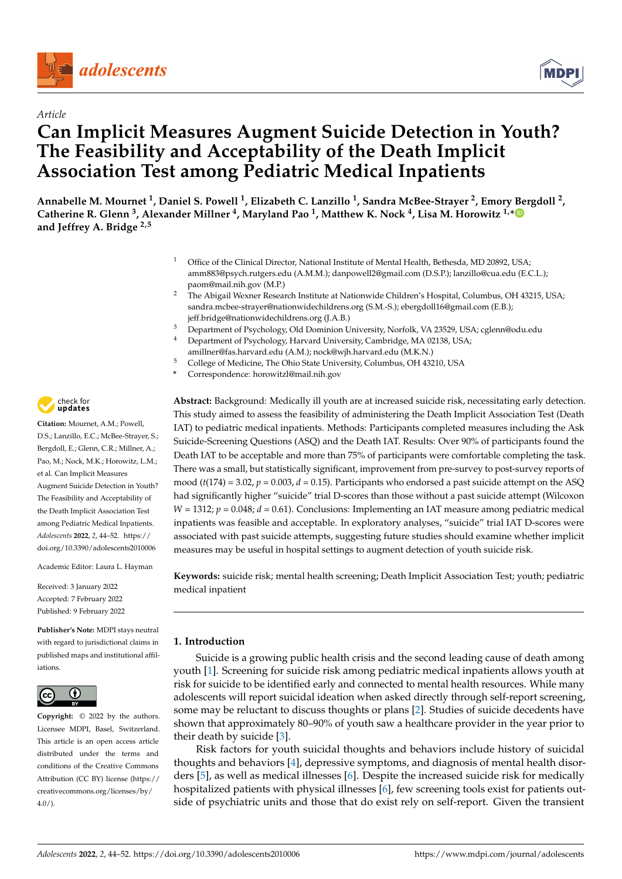



# *Article* **Can Implicit Measures Augment Suicide Detection in Youth? The Feasibility and Acceptability of the Death Implicit Association Test among Pediatric Medical Inpatients**

Annabelle M. Mournet <sup>1</sup>, Daniel S. Powell <sup>1</sup>, Elizabeth C. Lanzillo <sup>1</sup>, Sandra McBee-Strayer <sup>2</sup>, Emory Bergdoll <sup>2</sup>, **Catherine R. Glenn <sup>3</sup> , Alexander Millner <sup>4</sup> , Maryland Pao <sup>1</sup> , Matthew K. Nock <sup>4</sup> , Lisa M. Horowitz 1,[\\*](https://orcid.org/0000-0002-4827-1390) and Jeffrey A. Bridge 2,5**

- <sup>1</sup> Office of the Clinical Director, National Institute of Mental Health, Bethesda, MD 20892, USA; amm883@psych.rutgers.edu (A.M.M.); danpowell2@gmail.com (D.S.P.); lanzillo@cua.edu (E.C.L.); paom@mail.nih.gov (M.P.)
- <sup>2</sup> The Abigail Wexner Research Institute at Nationwide Children's Hospital, Columbus, OH 43215, USA; sandra.mcbee-strayer@nationwidechildrens.org (S.M.-S.); ebergdoll16@gmail.com (E.B.); jeff.bridge@nationwidechildrens.org (J.A.B.)
- <sup>3</sup> Department of Psychology, Old Dominion University, Norfolk, VA 23529, USA; cglenn@odu.edu<br><sup>4</sup> Department of Psychology, Harvard University, Cambridge, MA 02138, USA;
- Department of Psychology, Harvard University, Cambridge, MA 02138, USA; amillner@fas.harvard.edu (A.M.); nock@wjh.harvard.edu (M.K.N.)
- <sup>5</sup> College of Medicine, The Ohio State University, Columbus, OH 43210, USA
- **\*** Correspondence: horowitzl@mail.nih.gov

**Abstract:** Background: Medically ill youth are at increased suicide risk, necessitating early detection. This study aimed to assess the feasibility of administering the Death Implicit Association Test (Death IAT) to pediatric medical inpatients. Methods: Participants completed measures including the Ask Suicide-Screening Questions (ASQ) and the Death IAT. Results: Over 90% of participants found the Death IAT to be acceptable and more than 75% of participants were comfortable completing the task. There was a small, but statistically significant, improvement from pre-survey to post-survey reports of mood (*t*(174) = 3.02, *p* = 0.003, *d* = 0.15). Participants who endorsed a past suicide attempt on the ASQ had significantly higher "suicide" trial D-scores than those without a past suicide attempt (Wilcoxon  $W = 1312$ ;  $p = 0.048$ ;  $d = 0.61$ ). Conclusions: Implementing an IAT measure among pediatric medical inpatients was feasible and acceptable. In exploratory analyses, "suicide" trial IAT D-scores were associated with past suicide attempts, suggesting future studies should examine whether implicit measures may be useful in hospital settings to augment detection of youth suicide risk.

**Keywords:** suicide risk; mental health screening; Death Implicit Association Test; youth; pediatric medical inpatient

### **1. Introduction**

Suicide is a growing public health crisis and the second leading cause of death among youth [\[1\]](#page-9-0). Screening for suicide risk among pediatric medical inpatients allows youth at risk for suicide to be identified early and connected to mental health resources. While many adolescents will report suicidal ideation when asked directly through self-report screening, some may be reluctant to discuss thoughts or plans [\[2\]](#page-9-1). Studies of suicide decedents have shown that approximately 80–90% of youth saw a healthcare provider in the year prior to their death by suicide [\[3\]](#page-9-2).

Risk factors for youth suicidal thoughts and behaviors include history of suicidal thoughts and behaviors [\[4\]](#page-9-3), depressive symptoms, and diagnosis of mental health disorders [\[5\]](#page-9-4), as well as medical illnesses [\[6\]](#page-9-5). Despite the increased suicide risk for medically hospitalized patients with physical illnesses [\[6\]](#page-9-5), few screening tools exist for patients outside of psychiatric units and those that do exist rely on self-report. Given the transient



**Citation:** Mournet, A.M.; Powell, D.S.; Lanzillo, E.C.; McBee-Strayer, S.; Bergdoll, E.; Glenn, C.R.; Millner, A.; Pao, M.; Nock, M.K.; Horowitz, L.M.; et al. Can Implicit Measures Augment Suicide Detection in Youth? The Feasibility and Acceptability of the Death Implicit Association Test among Pediatric Medical Inpatients. *Adolescents* **2022**, *2*, 44–52. [https://](https://doi.org/10.3390/adolescents2010006) [doi.org/10.3390/adolescents2010006](https://doi.org/10.3390/adolescents2010006)

Academic Editor: Laura L. Hayman

Received: 3 January 2022 Accepted: 7 February 2022 Published: 9 February 2022

**Publisher's Note:** MDPI stays neutral with regard to jurisdictional claims in published maps and institutional affiliations.



**Copyright:** © 2022 by the authors. Licensee MDPI, Basel, Switzerland. This article is an open access article distributed under the terms and conditions of the Creative Commons Attribution (CC BY) license [\(https://](https://creativecommons.org/licenses/by/4.0/) [creativecommons.org/licenses/by/](https://creativecommons.org/licenses/by/4.0/)  $4.0/$ ).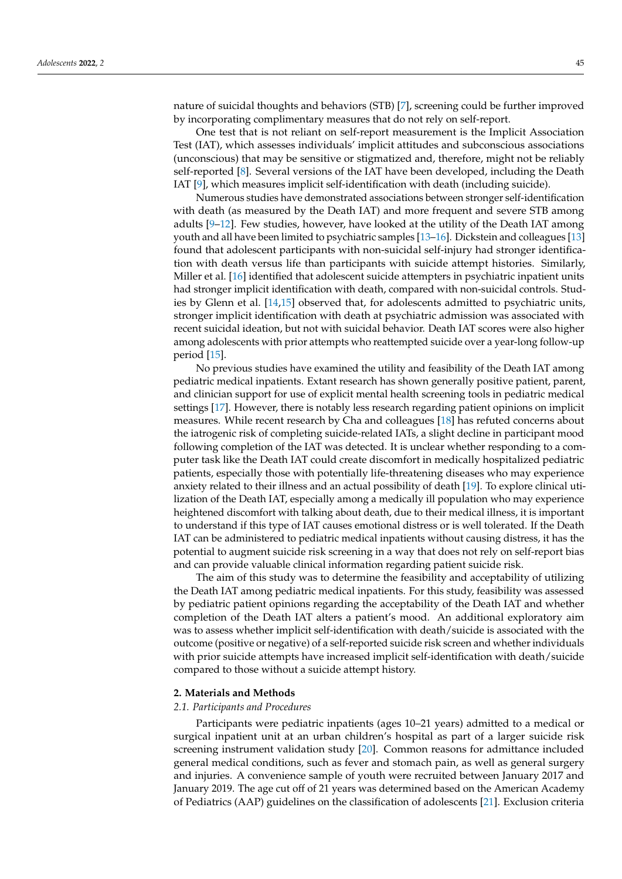nature of suicidal thoughts and behaviors (STB) [\[7\]](#page-9-6), screening could be further improved by incorporating complimentary measures that do not rely on self-report.

One test that is not reliant on self-report measurement is the Implicit Association Test (IAT), which assesses individuals' implicit attitudes and subconscious associations (unconscious) that may be sensitive or stigmatized and, therefore, might not be reliably self-reported [\[8\]](#page-9-7). Several versions of the IAT have been developed, including the Death IAT [\[9\]](#page-9-8), which measures implicit self-identification with death (including suicide).

Numerous studies have demonstrated associations between stronger self-identification with death (as measured by the Death IAT) and more frequent and severe STB among adults [\[9–](#page-9-8)[12\]](#page-9-9). Few studies, however, have looked at the utility of the Death IAT among youth and all have been limited to psychiatric samples [\[13](#page-9-10)[–16\]](#page-10-0). Dickstein and colleagues [\[13\]](#page-9-10) found that adolescent participants with non-suicidal self-injury had stronger identification with death versus life than participants with suicide attempt histories. Similarly, Miller et al. [\[16\]](#page-10-0) identified that adolescent suicide attempters in psychiatric inpatient units had stronger implicit identification with death, compared with non-suicidal controls. Studies by Glenn et al. [\[14](#page-9-11)[,15\]](#page-9-12) observed that, for adolescents admitted to psychiatric units, stronger implicit identification with death at psychiatric admission was associated with recent suicidal ideation, but not with suicidal behavior. Death IAT scores were also higher among adolescents with prior attempts who reattempted suicide over a year-long follow-up period [\[15\]](#page-9-12).

No previous studies have examined the utility and feasibility of the Death IAT among pediatric medical inpatients. Extant research has shown generally positive patient, parent, and clinician support for use of explicit mental health screening tools in pediatric medical settings [\[17\]](#page-10-1). However, there is notably less research regarding patient opinions on implicit measures. While recent research by Cha and colleagues [\[18\]](#page-10-2) has refuted concerns about the iatrogenic risk of completing suicide-related IATs, a slight decline in participant mood following completion of the IAT was detected. It is unclear whether responding to a computer task like the Death IAT could create discomfort in medically hospitalized pediatric patients, especially those with potentially life-threatening diseases who may experience anxiety related to their illness and an actual possibility of death [\[19\]](#page-10-3). To explore clinical utilization of the Death IAT, especially among a medically ill population who may experience heightened discomfort with talking about death, due to their medical illness, it is important to understand if this type of IAT causes emotional distress or is well tolerated. If the Death IAT can be administered to pediatric medical inpatients without causing distress, it has the potential to augment suicide risk screening in a way that does not rely on self-report bias and can provide valuable clinical information regarding patient suicide risk.

The aim of this study was to determine the feasibility and acceptability of utilizing the Death IAT among pediatric medical inpatients. For this study, feasibility was assessed by pediatric patient opinions regarding the acceptability of the Death IAT and whether completion of the Death IAT alters a patient's mood. An additional exploratory aim was to assess whether implicit self-identification with death/suicide is associated with the outcome (positive or negative) of a self-reported suicide risk screen and whether individuals with prior suicide attempts have increased implicit self-identification with death/suicide compared to those without a suicide attempt history.

#### **2. Materials and Methods**

#### *2.1. Participants and Procedures*

Participants were pediatric inpatients (ages 10–21 years) admitted to a medical or surgical inpatient unit at an urban children's hospital as part of a larger suicide risk screening instrument validation study [\[20\]](#page-10-4). Common reasons for admittance included general medical conditions, such as fever and stomach pain, as well as general surgery and injuries. A convenience sample of youth were recruited between January 2017 and January 2019. The age cut off of 21 years was determined based on the American Academy of Pediatrics (AAP) guidelines on the classification of adolescents [\[21\]](#page-10-5). Exclusion criteria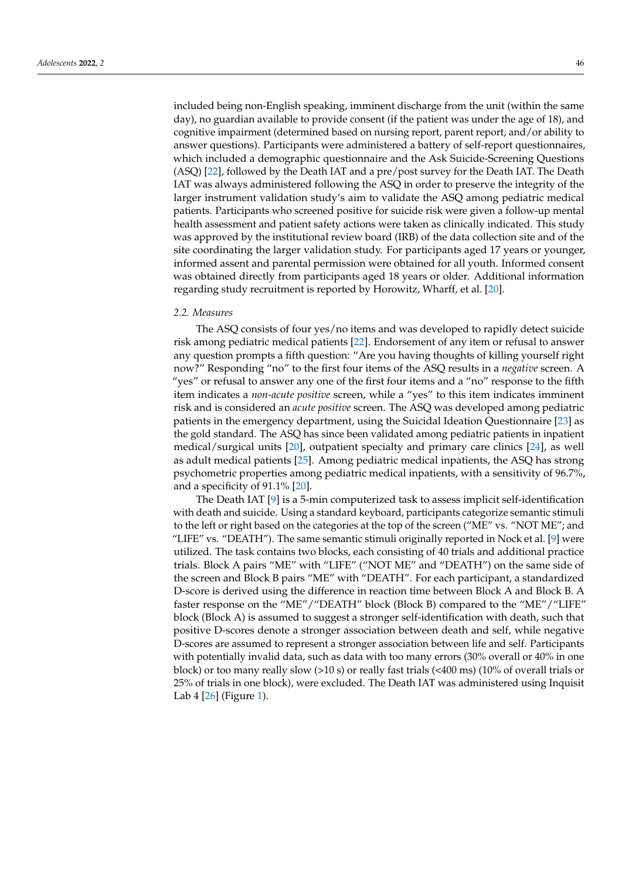included being non-English speaking, imminent discharge from the unit (within the same day), no guardian available to provide consent (if the patient was under the age of 18), and cognitive impairment (determined based on nursing report, parent report, and/or ability to answer questions). Participants were administered a battery of self-report questionnaires, which included a demographic questionnaire and the Ask Suicide-Screening Questions (ASQ) [\[22\]](#page-10-6), followed by the Death IAT and a pre/post survey for the Death IAT. The Death IAT was always administered following the ASQ in order to preserve the integrity of the larger instrument validation study's aim to validate the ASQ among pediatric medical patients. Participants who screened positive for suicide risk were given a follow-up mental health assessment and patient safety actions were taken as clinically indicated. This study was approved by the institutional review board (IRB) of the data collection site and of the site coordinating the larger validation study. For participants aged 17 years or younger, informed assent and parental permission were obtained for all youth. Informed consent was obtained directly from participants aged 18 years or older. Additional information regarding study recruitment is reported by Horowitz, Wharff, et al. [\[20\]](#page-10-4).

#### *2.2. Measures*

The ASQ consists of four yes/no items and was developed to rapidly detect suicide risk among pediatric medical patients [\[22\]](#page-10-6). Endorsement of any item or refusal to answer any question prompts a fifth question: "Are you having thoughts of killing yourself right now?" Responding "no" to the first four items of the ASQ results in a *negative* screen. A "yes" or refusal to answer any one of the first four items and a "no" response to the fifth item indicates a *non-acute positive* screen, while a "yes" to this item indicates imminent risk and is considered an *acute positive* screen. The ASQ was developed among pediatric patients in the emergency department, using the Suicidal Ideation Questionnaire [\[23\]](#page-10-7) as the gold standard. The ASQ has since been validated among pediatric patients in inpatient medical/surgical units [\[20\]](#page-10-4), outpatient specialty and primary care clinics [\[24\]](#page-10-8), as well as adult medical patients [\[25\]](#page-10-9). Among pediatric medical inpatients, the ASQ has strong psychometric properties among pediatric medical inpatients, with a sensitivity of 96.7%, and a specificity of 91.1% [\[20\]](#page-10-4).

The Death IAT [\[9\]](#page-9-8) is a 5-min computerized task to assess implicit self-identification with death and suicide. Using a standard keyboard, participants categorize semantic stimuli to the left or right based on the categories at the top of the screen ("ME" vs. "NOT ME"; and "LIFE" vs. "DEATH"). The same semantic stimuli originally reported in Nock et al. [\[9\]](#page-9-8) were utilized. The task contains two blocks, each consisting of 40 trials and additional practice trials. Block A pairs "ME" with "LIFE" ("NOT ME" and "DEATH") on the same side of the screen and Block B pairs "ME" with "DEATH". For each participant, a standardized D-score is derived using the difference in reaction time between Block A and Block B. A faster response on the "ME"/"DEATH" block (Block B) compared to the "ME"/"LIFE" block (Block A) is assumed to suggest a stronger self-identification with death, such that positive D-scores denote a stronger association between death and self, while negative D-scores are assumed to represent a stronger association between life and self. Participants with potentially invalid data, such as data with too many errors (30% overall or 40% in one block) or too many really slow (>10 s) or really fast trials (<400 ms) (10% of overall trials or 25% of trials in one block), were excluded. The Death IAT was administered using Inquisit Lab 4 [\[26\]](#page-10-10) (Figure [1\)](#page-5-0).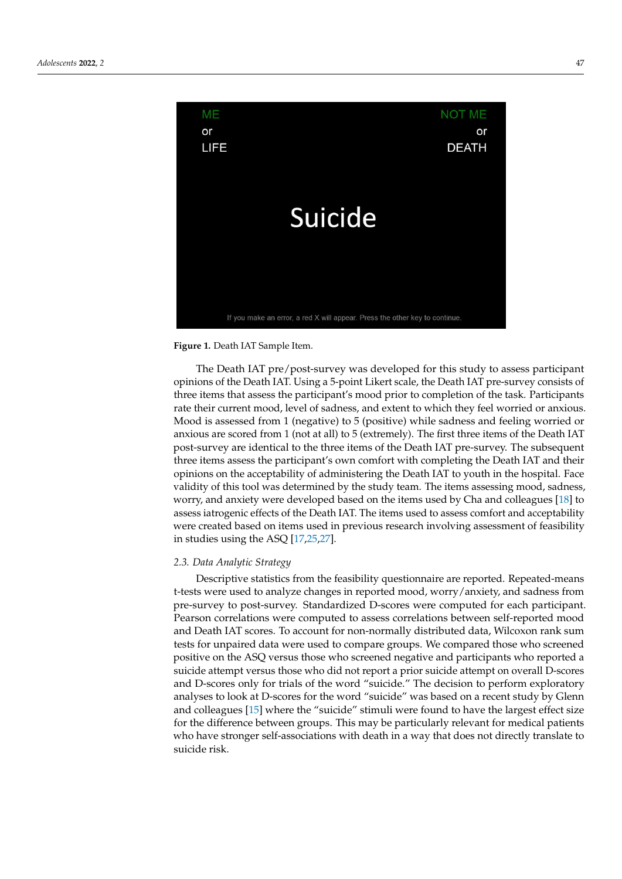<span id="page-5-0"></span>

**Figure 1.** Death IAT Sample Item. **Figure 1.** Death IAT Sample Item.

The Death IAT pre/post-survey was developed for this study to assess participant The Death IAT pre/post-survey was developed for this study to assess participant opinions of the Death IAT. Using a 5-point Likert scale, the Death IAT pre-survey consists opinions of the Death IAT. Using a 5-point Likert scale, the Death IAT pre-survey consists of three items that assess the participant's mood prior to completion of the task. Participants rate their current mood, level of sadness, and extent to which they feel worried or anxious. Mood is assessed from 1 (negative) to 5 (positive) while sadness and feeling worried or anxious are scored from 1 (not at all) to 5 (extremely). The first three items of the Death IAT post-survey are identical to the three items of the Death IAT pre-survey. The subsequent three items assess the participant's own comfort with completing the Death IAT and their opinions on the acceptability of administering the Death IAT to youth in the hospital. Face validity of this tool was determined by the study team. The items assessing mood, sadness, worry, and anxiety were developed based on the items used by Cha and colleagues [\[18\]](#page-10-2) to assess iatrogenic effects of the Death IAT. The items used to assess comfort and acceptability were created based on items used in previous research involving assessment of feasibility in studies using the ASQ [\[17](#page-10-1)[,25](#page-10-9)[,27\]](#page-10-11).

# *2.3. Data Analytic Strategy 2.3. Data Analytic Strategy*

Descriptive statistics from the feasibility questionnaire are reported. Repeated-means Descriptive statistics from the feasibility questionnaire are reported. Repeated-means t-tests were used to analyze changes in reported mood, worry/anxiety, and sadness from t-tests were used to analyze changes in reported mood, worry/anxiety, and sadness from pre-survey to post-survey. Standardized D-scores were computed for each participant. pre-survey to post-survey. Standardized D-scores were computed for each participant. Pearson correlations were computed to assess correlations between self-reported mood  $\Gamma$ and Death IAT scores. To account for non-normally distributed data, Wilcoxon rank sum and Death IAT scores. To account for non-normally distributed data, Wilcoxon rank sum tests for unpaired data were used to compare groups. We compared those who screened<br>the strike who screened to compute service describes who scribes who screened to positive on the ASQ versus those who screened negative and participants who reported a positive on the ASQ versus those who screened negative and participants who reported a and D-scores only for trials of the word "suicide." The decision to perform exploratory and D scores only for trials of the word "suicide" the decision to perform exploratory<br>analyses to look at D-scores for the word "suicide" was based on a recent study by Glenn analyses to look at D-scores for the word "suicide" was based on a recent study by Shoat<br>and colleagues [\[15\]](#page-9-12) where the "suicide" stimuli were found to have the largest effect size and colleagues [15] where the "suicide" stimuli were found to have the largest effect side<br>for the difference between groups. This may be particularly relevant for medical patients  $\frac{1}{2}$  size for the difference between groups. This may be particularly relevant for  $\frac{1}{2}$  may be particularly relevant for  $\frac{1}{2}$  medical for  $\frac{1}{2}$  medical for  $\frac{1}{2}$  medical for  $\frac{1}{2}$  medical for  $\$ who have stronger self-associations with death in a way that does not directly translate to<br>suicide risk suicide attempt versus those who did not report a prior suicide attempt on overall D-scores suicide risk.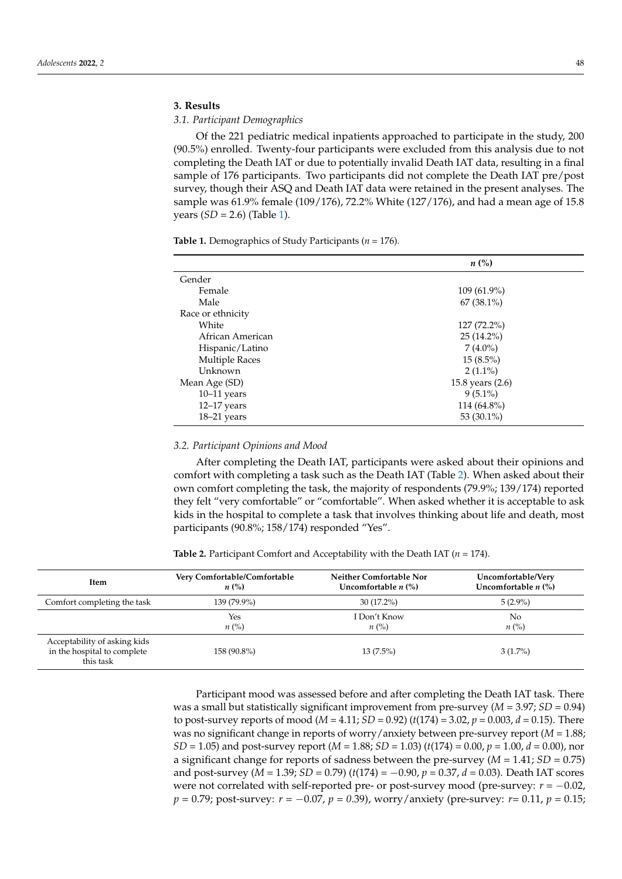## **3. Results**

#### *3.1. Participant Demographics*

Of the 221 pediatric medical inpatients approached to participate in the study, 200 (90.5%) enrolled. Twenty-four participants were excluded from this analysis due to not completing the Death IAT or due to potentially invalid Death IAT data, resulting in a final sample of 176 participants. Two participants did not complete the Death IAT pre/post survey, though their ASQ and Death IAT data were retained in the present analyses. The sample was 61.9% female (109/176), 72.2% White (127/176), and had a mean age of 15.8 years (*SD* = 2.6) (Table [1\)](#page-6-0).

<span id="page-6-0"></span>**Table 1.** Demographics of Study Participants (*n* = 176).

|                       | $n\left(\%\right)$ |  |  |  |
|-----------------------|--------------------|--|--|--|
| Gender                |                    |  |  |  |
| Female                | 109 (61.9%)        |  |  |  |
| Male                  | $67(38.1\%)$       |  |  |  |
| Race or ethnicity     |                    |  |  |  |
| White                 | $127(72.2\%)$      |  |  |  |
| African American      | $25(14.2\%)$       |  |  |  |
| Hispanic/Latino       | $7(4.0\%)$         |  |  |  |
| <b>Multiple Races</b> | $15(8.5\%)$        |  |  |  |
| Unknown               | $2(1.1\%)$         |  |  |  |
| Mean Age (SD)         | 15.8 years (2.6)   |  |  |  |
| $10-11$ years         | $9(5.1\%)$         |  |  |  |
| $12-17$ years         | 114 (64.8%)        |  |  |  |
| $18-21$ years         | 53 $(30.1\%)$      |  |  |  |

#### *3.2. Participant Opinions and Mood*

After completing the Death IAT, participants were asked about their opinions and comfort with completing a task such as the Death IAT (Table [2\)](#page-6-1). When asked about their own comfort completing the task, the majority of respondents (79.9%; 139/174) reported they felt "very comfortable" or "comfortable". When asked whether it is acceptable to ask kids in the hospital to complete a task that involves thinking about life and death, most participants (90.8%; 158/174) responded "Yes".

<span id="page-6-1"></span>**Table 2.** Participant Comfort and Acceptability with the Death IAT (*n* = 174).

| Item                                                                     | Very Comfortable/Comfortable | Neither Comfortable Nor              | Uncomfortable/Very    |
|--------------------------------------------------------------------------|------------------------------|--------------------------------------|-----------------------|
|                                                                          | $n\left(\%\right)$           | Uncomfortable $n$ $\left(\% \right)$ | Uncomfortable $n$ (%) |
| Comfort completing the task                                              | 139 (79.9%)                  | $30(17.2\%)$                         | $5(2.9\%)$            |
|                                                                          | Yes                          | I Don't Know                         | No                    |
|                                                                          | $n\ (\%)$                    | $n\ (\%)$                            | $n\left(\%\right)$    |
| Acceptability of asking kids<br>in the hospital to complete<br>this task | 158 (90.8%)                  | $13(7.5\%)$                          | $3(1.7\%)$            |

Participant mood was assessed before and after completing the Death IAT task. There was a small but statistically significant improvement from pre-survey (*M* = 3.97; *SD* = 0.94) to post-survey reports of mood ( $M = 4.11$ ;  $SD = 0.92$ ) ( $t(174) = 3.02$ ,  $p = 0.003$ ,  $d = 0.15$ ). There was no significant change in reports of worry/anxiety between pre-survey report (*M* = 1.88; *SD* = 1.05) and post-survey report (*M* = 1.88; *SD* = 1.03) (*t*(174) = 0.00, *p* = 1.00, *d* = 0.00), nor a significant change for reports of sadness between the pre-survey  $(M = 1.41; SD = 0.75)$ and post-survey (*M* = 1.39; *SD* = 0.79) (*t*(174) = −0.90, *p* = 0.37, *d* = 0.03). Death IAT scores were not correlated with self-reported pre- or post-survey mood (pre-survey: *r* = −0.02, *p* = 0.79; post-survey: *r* = −0.07, *p* = 0.39), worry/anxiety (pre-survey: *r* = 0.11, *p* = 0.15;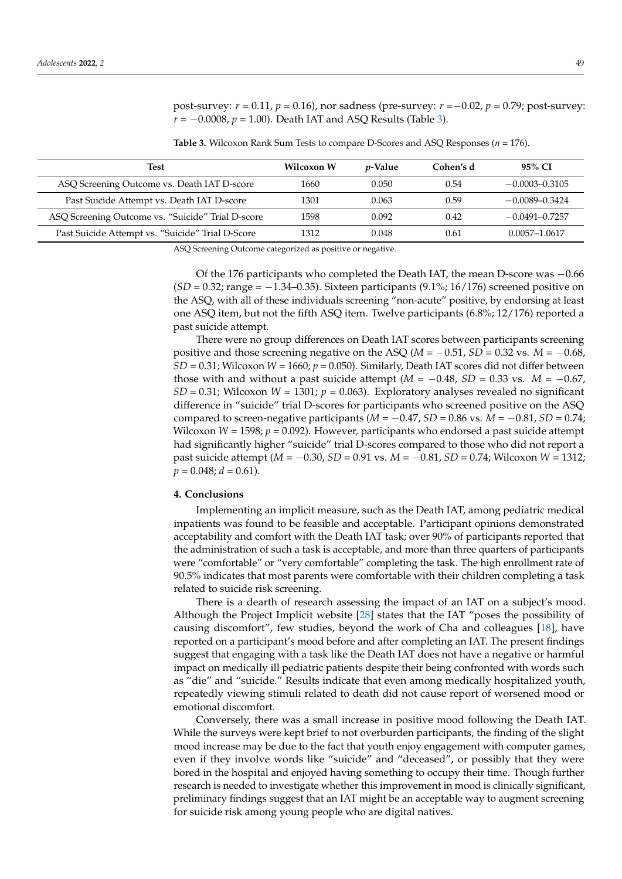post-survey: *r* = 0.11, *p* = 0.16), nor sadness (pre-survey: *r* =−0.02, *p* = 0.79; post-survey: *r* = −0.0008, *p* = 1.00). Death IAT and ASQ Results (Table [3\)](#page-7-0).

<span id="page-7-0"></span>**Table 3.** Wilcoxon Rank Sum Tests to compare D-Scores and ASQ Responses (*n* = 176).

| Test                                              | Wilcoxon W | <i>v</i> -Value | Cohen's d | 95% CI             |
|---------------------------------------------------|------------|-----------------|-----------|--------------------|
| ASQ Screening Outcome vs. Death IAT D-score       | 1660       | 0.050           | 0.54      | $-0.0003 - 0.3105$ |
| Past Suicide Attempt vs. Death IAT D-score        | 1301       | 0.063           | 0.59      | $-0.0089 - 0.3424$ |
| ASQ Screening Outcome vs. "Suicide" Trial D-score | 1598       | 0.092           | 0.42      | $-0.0491 - 0.7257$ |
| Past Suicide Attempt vs. "Suicide" Trial D-Score  | 312        | 0.048           | 0.61      | 0.0057-1.0617      |

ASQ Screening Outcome categorized as positive or negative.

Of the 176 participants who completed the Death IAT, the mean D-score was −0.66 (*SD* = 0.32; range = −1.34–0.35). Sixteen participants (9.1%; 16/176) screened positive on the ASQ, with all of these individuals screening "non-acute" positive, by endorsing at least one ASQ item, but not the fifth ASQ item. Twelve participants (6.8%; 12/176) reported a past suicide attempt.

There were no group differences on Death IAT scores between participants screening positive and those screening negative on the ASQ (*M* = −0.51, *SD* = 0.32 vs. *M* = −0.68,  $SD = 0.31$ ; Wilcoxon  $W = 1660$ ;  $p = 0.050$ ). Similarly, Death IAT scores did not differ between those with and without a past suicide attempt  $(M = -0.48, SD = 0.33$  vs.  $M = -0.67$ , *SD* = 0.31; Wilcoxon *W* = 1301;  $p = 0.063$ ). Exploratory analyses revealed no significant difference in "suicide" trial D-scores for participants who screened positive on the ASQ compared to screen-negative participants  $(M = -0.47, SD = 0.86$  vs.  $M = -0.81, SD = 0.74$ ; Wilcoxon *W* = 1598; *p* = 0.092). However, participants who endorsed a past suicide attempt had significantly higher "suicide" trial D-scores compared to those who did not report a past suicide attempt (*M* = −0.30, *SD* = 0.91 vs. *M* = −0.81, *SD* = 0.74; Wilcoxon *W* = 1312;  $p = 0.048$ ;  $d = 0.61$ ).

#### **4. Conclusions**

Implementing an implicit measure, such as the Death IAT, among pediatric medical inpatients was found to be feasible and acceptable. Participant opinions demonstrated acceptability and comfort with the Death IAT task; over 90% of participants reported that the administration of such a task is acceptable, and more than three quarters of participants were "comfortable" or "very comfortable" completing the task. The high enrollment rate of 90.5% indicates that most parents were comfortable with their children completing a task related to suicide risk screening.

There is a dearth of research assessing the impact of an IAT on a subject's mood. Although the Project Implicit website [\[28\]](#page-10-12) states that the IAT "poses the possibility of causing discomfort", few studies, beyond the work of Cha and colleagues [\[18\]](#page-10-2), have reported on a participant's mood before and after completing an IAT. The present findings suggest that engaging with a task like the Death IAT does not have a negative or harmful impact on medically ill pediatric patients despite their being confronted with words such as "die" and "suicide." Results indicate that even among medically hospitalized youth, repeatedly viewing stimuli related to death did not cause report of worsened mood or emotional discomfort.

Conversely, there was a small increase in positive mood following the Death IAT. While the surveys were kept brief to not overburden participants, the finding of the slight mood increase may be due to the fact that youth enjoy engagement with computer games, even if they involve words like "suicide" and "deceased", or possibly that they were bored in the hospital and enjoyed having something to occupy their time. Though further research is needed to investigate whether this improvement in mood is clinically significant, preliminary findings suggest that an IAT might be an acceptable way to augment screening for suicide risk among young people who are digital natives.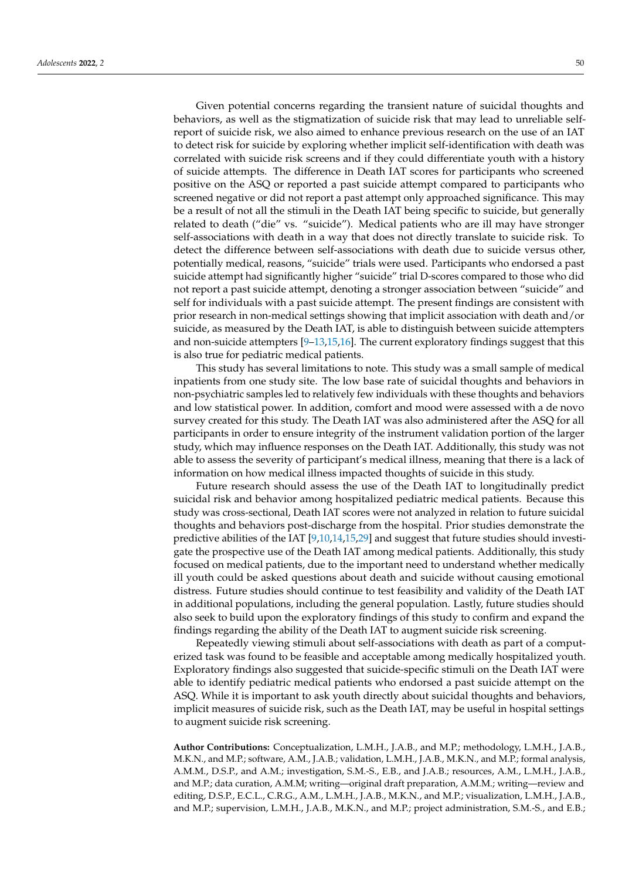Given potential concerns regarding the transient nature of suicidal thoughts and behaviors, as well as the stigmatization of suicide risk that may lead to unreliable selfreport of suicide risk, we also aimed to enhance previous research on the use of an IAT to detect risk for suicide by exploring whether implicit self-identification with death was correlated with suicide risk screens and if they could differentiate youth with a history of suicide attempts. The difference in Death IAT scores for participants who screened positive on the ASQ or reported a past suicide attempt compared to participants who screened negative or did not report a past attempt only approached significance. This may be a result of not all the stimuli in the Death IAT being specific to suicide, but generally related to death ("die" vs. "suicide"). Medical patients who are ill may have stronger self-associations with death in a way that does not directly translate to suicide risk. To detect the difference between self-associations with death due to suicide versus other, potentially medical, reasons, "suicide" trials were used. Participants who endorsed a past suicide attempt had significantly higher "suicide" trial D-scores compared to those who did not report a past suicide attempt, denoting a stronger association between "suicide" and self for individuals with a past suicide attempt. The present findings are consistent with prior research in non-medical settings showing that implicit association with death and/or suicide, as measured by the Death IAT, is able to distinguish between suicide attempters and non-suicide attempters  $[9-13,15,16]$  $[9-13,15,16]$  $[9-13,15,16]$  $[9-13,15,16]$ . The current exploratory findings suggest that this is also true for pediatric medical patients.

This study has several limitations to note. This study was a small sample of medical inpatients from one study site. The low base rate of suicidal thoughts and behaviors in non-psychiatric samples led to relatively few individuals with these thoughts and behaviors and low statistical power. In addition, comfort and mood were assessed with a de novo survey created for this study. The Death IAT was also administered after the ASQ for all participants in order to ensure integrity of the instrument validation portion of the larger study, which may influence responses on the Death IAT. Additionally, this study was not able to assess the severity of participant's medical illness, meaning that there is a lack of information on how medical illness impacted thoughts of suicide in this study.

Future research should assess the use of the Death IAT to longitudinally predict suicidal risk and behavior among hospitalized pediatric medical patients. Because this study was cross-sectional, Death IAT scores were not analyzed in relation to future suicidal thoughts and behaviors post-discharge from the hospital. Prior studies demonstrate the predictive abilities of the IAT [\[9,](#page-9-8)[10,](#page-9-13)[14,](#page-9-11)[15,](#page-9-12)[29\]](#page-10-13) and suggest that future studies should investigate the prospective use of the Death IAT among medical patients. Additionally, this study focused on medical patients, due to the important need to understand whether medically ill youth could be asked questions about death and suicide without causing emotional distress. Future studies should continue to test feasibility and validity of the Death IAT in additional populations, including the general population. Lastly, future studies should also seek to build upon the exploratory findings of this study to confirm and expand the findings regarding the ability of the Death IAT to augment suicide risk screening.

Repeatedly viewing stimuli about self-associations with death as part of a computerized task was found to be feasible and acceptable among medically hospitalized youth. Exploratory findings also suggested that suicide-specific stimuli on the Death IAT were able to identify pediatric medical patients who endorsed a past suicide attempt on the ASQ. While it is important to ask youth directly about suicidal thoughts and behaviors, implicit measures of suicide risk, such as the Death IAT, may be useful in hospital settings to augment suicide risk screening.

**Author Contributions:** Conceptualization, L.M.H., J.A.B., and M.P.; methodology, L.M.H., J.A.B., M.K.N., and M.P.; software, A.M., J.A.B.; validation, L.M.H., J.A.B., M.K.N., and M.P.; formal analysis, A.M.M., D.S.P., and A.M.; investigation, S.M.-S., E.B., and J.A.B.; resources, A.M., L.M.H., J.A.B., and M.P.; data curation, A.M.M; writing—original draft preparation, A.M.M.; writing—review and editing, D.S.P., E.C.L., C.R.G., A.M., L.M.H., J.A.B., M.K.N., and M.P.; visualization, L.M.H., J.A.B., and M.P.; supervision, L.M.H., J.A.B., M.K.N., and M.P.; project administration, S.M.-S., and E.B.;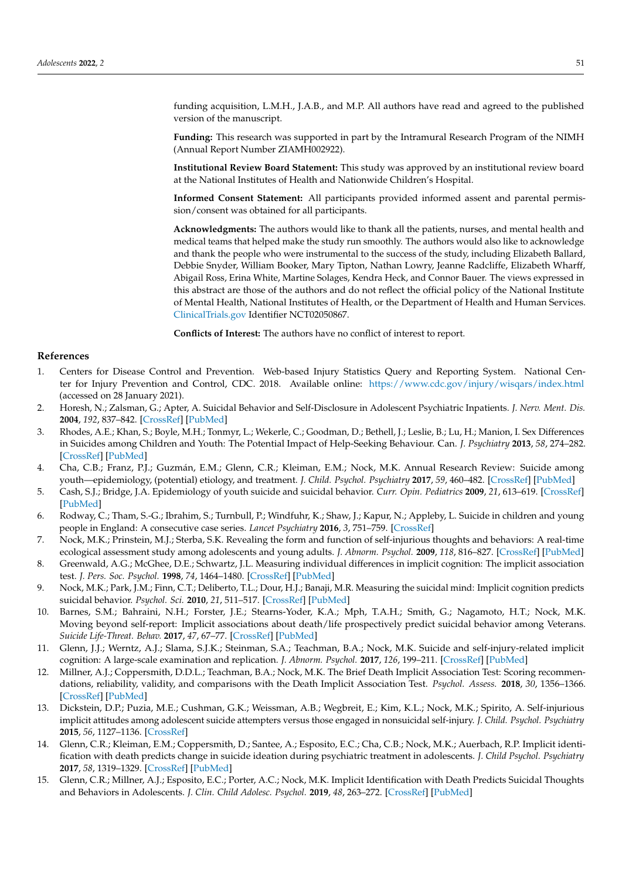funding acquisition, L.M.H., J.A.B., and M.P. All authors have read and agreed to the published version of the manuscript.

**Funding:** This research was supported in part by the Intramural Research Program of the NIMH (Annual Report Number ZIAMH002922).

**Institutional Review Board Statement:** This study was approved by an institutional review board at the National Institutes of Health and Nationwide Children's Hospital.

**Informed Consent Statement:** All participants provided informed assent and parental permission/consent was obtained for all participants.

**Acknowledgments:** The authors would like to thank all the patients, nurses, and mental health and medical teams that helped make the study run smoothly. The authors would also like to acknowledge and thank the people who were instrumental to the success of the study, including Elizabeth Ballard, Debbie Snyder, William Booker, Mary Tipton, Nathan Lowry, Jeanne Radcliffe, Elizabeth Wharff, Abigail Ross, Erina White, Martine Solages, Kendra Heck, and Connor Bauer. The views expressed in this abstract are those of the authors and do not reflect the official policy of the National Institute of Mental Health, National Institutes of Health, or the Department of Health and Human Services. <ClinicalTrials.gov> Identifier NCT02050867.

**Conflicts of Interest:** The authors have no conflict of interest to report.

#### **References**

- <span id="page-9-0"></span>1. Centers for Disease Control and Prevention. Web-based Injury Statistics Query and Reporting System. National Center for Injury Prevention and Control, CDC. 2018. Available online: <https://www.cdc.gov/injury/wisqars/index.html> (accessed on 28 January 2021).
- <span id="page-9-1"></span>2. Horesh, N.; Zalsman, G.; Apter, A. Suicidal Behavior and Self-Disclosure in Adolescent Psychiatric Inpatients. *J. Nerv. Ment. Dis.* **2004**, *192*, 837–842. [\[CrossRef\]](http://doi.org/10.1097/01.nmd.0000146738.78222.e5) [\[PubMed\]](http://www.ncbi.nlm.nih.gov/pubmed/15583505)
- <span id="page-9-2"></span>3. Rhodes, A.E.; Khan, S.; Boyle, M.H.; Tonmyr, L.; Wekerle, C.; Goodman, D.; Bethell, J.; Leslie, B.; Lu, H.; Manion, I. Sex Differences in Suicides among Children and Youth: The Potential Impact of Help-Seeking Behaviour. Can. *J. Psychiatry* **2013**, *58*, 274–282. [\[CrossRef\]](http://doi.org/10.1177/070674371305800504) [\[PubMed\]](http://www.ncbi.nlm.nih.gov/pubmed/23756287)
- <span id="page-9-3"></span>4. Cha, C.B.; Franz, P.J.; Guzmán, E.M.; Glenn, C.R.; Kleiman, E.M.; Nock, M.K. Annual Research Review: Suicide among youth—epidemiology, (potential) etiology, and treatment. *J. Child. Psychol. Psychiatry* **2017**, *59*, 460–482. [\[CrossRef\]](http://doi.org/10.1111/jcpp.12831) [\[PubMed\]](http://www.ncbi.nlm.nih.gov/pubmed/29090457)
- <span id="page-9-4"></span>5. Cash, S.J.; Bridge, J.A. Epidemiology of youth suicide and suicidal behavior. *Curr. Opin. Pediatrics* **2009**, *21*, 613–619. [\[CrossRef\]](http://doi.org/10.1097/MOP.0b013e32833063e1) [\[PubMed\]](http://www.ncbi.nlm.nih.gov/pubmed/19644372)
- <span id="page-9-5"></span>6. Rodway, C.; Tham, S.-G.; Ibrahim, S.; Turnbull, P.; Windfuhr, K.; Shaw, J.; Kapur, N.; Appleby, L. Suicide in children and young people in England: A consecutive case series. *Lancet Psychiatry* **2016**, *3*, 751–759. [\[CrossRef\]](http://doi.org/10.1016/S2215-0366(16)30094-3)
- <span id="page-9-6"></span>7. Nock, M.K.; Prinstein, M.J.; Sterba, S.K. Revealing the form and function of self-injurious thoughts and behaviors: A real-time ecological assessment study among adolescents and young adults. *J. Abnorm. Psychol.* **2009**, *118*, 816–827. [\[CrossRef\]](http://doi.org/10.1037/a0016948) [\[PubMed\]](http://www.ncbi.nlm.nih.gov/pubmed/19899851)
- <span id="page-9-7"></span>8. Greenwald, A.G.; McGhee, D.E.; Schwartz, J.L. Measuring individual differences in implicit cognition: The implicit association test. *J. Pers. Soc. Psychol.* **1998**, *74*, 1464–1480. [\[CrossRef\]](http://doi.org/10.1037/0022-3514.74.6.1464) [\[PubMed\]](http://www.ncbi.nlm.nih.gov/pubmed/9654756)
- <span id="page-9-8"></span>9. Nock, M.K.; Park, J.M.; Finn, C.T.; Deliberto, T.L.; Dour, H.J.; Banaji, M.R. Measuring the suicidal mind: Implicit cognition predicts suicidal behavior. *Psychol. Sci.* **2010**, *21*, 511–517. [\[CrossRef\]](http://doi.org/10.1177/0956797610364762) [\[PubMed\]](http://www.ncbi.nlm.nih.gov/pubmed/20424092)
- <span id="page-9-13"></span>10. Barnes, S.M.; Bahraini, N.H.; Forster, J.E.; Stearns-Yoder, K.A.; Mph, T.A.H.; Smith, G.; Nagamoto, H.T.; Nock, M.K. Moving beyond self-report: Implicit associations about death/life prospectively predict suicidal behavior among Veterans. *Suicide Life-Threat. Behav.* **2017**, *47*, 67–77. [\[CrossRef\]](http://doi.org/10.1111/sltb.12265) [\[PubMed\]](http://www.ncbi.nlm.nih.gov/pubmed/27387836)
- 11. Glenn, J.J.; Werntz, A.J.; Slama, S.J.K.; Steinman, S.A.; Teachman, B.A.; Nock, M.K. Suicide and self-injury-related implicit cognition: A large-scale examination and replication. *J. Abnorm. Psychol.* **2017**, *126*, 199–211. [\[CrossRef\]](http://doi.org/10.1037/abn0000230) [\[PubMed\]](http://www.ncbi.nlm.nih.gov/pubmed/27991808)
- <span id="page-9-9"></span>12. Millner, A.J.; Coppersmith, D.D.L.; Teachman, B.A.; Nock, M.K. The Brief Death Implicit Association Test: Scoring recommendations, reliability, validity, and comparisons with the Death Implicit Association Test. *Psychol. Assess.* **2018**, *30*, 1356–1366. [\[CrossRef\]](http://doi.org/10.1037/pas0000580) [\[PubMed\]](http://www.ncbi.nlm.nih.gov/pubmed/29781668)
- <span id="page-9-10"></span>13. Dickstein, D.P.; Puzia, M.E.; Cushman, G.K.; Weissman, A.B.; Wegbreit, E.; Kim, K.L.; Nock, M.K.; Spirito, A. Self-injurious implicit attitudes among adolescent suicide attempters versus those engaged in nonsuicidal self-injury. *J. Child. Psychol. Psychiatry* **2015**, *56*, 1127–1136. [\[CrossRef\]](http://doi.org/10.1111/jcpp.12385)
- <span id="page-9-11"></span>14. Glenn, C.R.; Kleiman, E.M.; Coppersmith, D.; Santee, A.; Esposito, E.C.; Cha, C.B.; Nock, M.K.; Auerbach, R.P. Implicit identification with death predicts change in suicide ideation during psychiatric treatment in adolescents. *J. Child Psychol. Psychiatry* **2017**, *58*, 1319–1329. [\[CrossRef\]](http://doi.org/10.1111/jcpp.12769) [\[PubMed\]](http://www.ncbi.nlm.nih.gov/pubmed/28675456)
- <span id="page-9-12"></span>15. Glenn, C.R.; Millner, A.J.; Esposito, E.C.; Porter, A.C.; Nock, M.K. Implicit Identification with Death Predicts Suicidal Thoughts and Behaviors in Adolescents. *J. Clin. Child Adolesc. Psychol.* **2019**, *48*, 263–272. [\[CrossRef\]](http://doi.org/10.1080/15374416.2018.1528548) [\[PubMed\]](http://www.ncbi.nlm.nih.gov/pubmed/30632815)